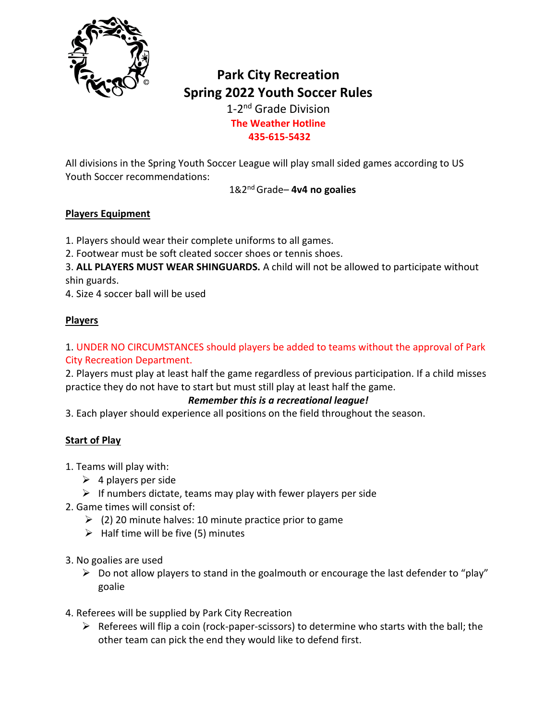

# **Park City Recreation Spring 2022 Youth Soccer Rules**

1-2<sup>nd</sup> Grade Division **The Weather Hotline 435-615-5432**

All divisions in the Spring Youth Soccer League will play small sided games according to US Youth Soccer recommendations:

1&2 nd Grade– **4v4 no goalies**

#### **Players Equipment**

1. Players should wear their complete uniforms to all games.

2. Footwear must be soft cleated soccer shoes or tennis shoes.

3. **ALL PLAYERS MUST WEAR SHINGUARDS.** A child will not be allowed to participate without shin guards.

4. Size 4 soccer ball will be used

# **Players**

### 1. UNDER NO CIRCUMSTANCES should players be added to teams without the approval of Park City Recreation Department.

2. Players must play at least half the game regardless of previous participation. If a child misses practice they do not have to start but must still play at least half the game.

# *Remember this is a recreational league!*

3. Each player should experience all positions on the field throughout the season.

# **Start of Play**

1. Teams will play with:

- $\triangleright$  4 players per side
- $\triangleright$  If numbers dictate, teams may play with fewer players per side
- 2. Game times will consist of:
	- $\geq$  (2) 20 minute halves: 10 minute practice prior to game
	- $\triangleright$  Half time will be five (5) minutes
- 3. No goalies are used
	- $\triangleright$  Do not allow players to stand in the goalmouth or encourage the last defender to "play" goalie
- 4. Referees will be supplied by Park City Recreation
	- $\triangleright$  Referees will flip a coin (rock-paper-scissors) to determine who starts with the ball; the other team can pick the end they would like to defend first.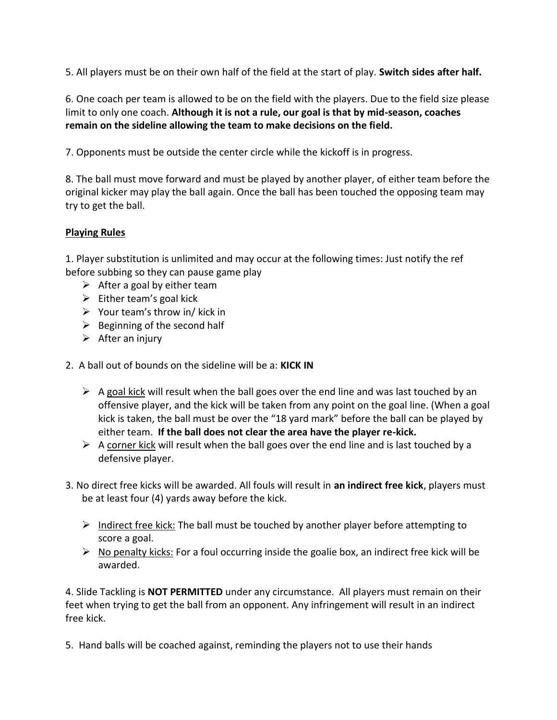5. All players must be on their own half of the field at the start of play. **Switch sides after half.**

6. One coach per team is allowed to be on the field with the players. Due to the field size please limit to only one coach. **Although it is not a rule, our goal is that by mid-season, coaches remain on the sideline allowing the team to make decisions on the field.**

7. Opponents must be outside the center circle while the kickoff is in progress.

8. The ball must move forward and must be played by another player, of either team before the original kicker may play the ball again. Once the ball has been touched the opposing team may try to get the ball.

#### **Playing Rules**

1. Player substitution is unlimited and may occur at the following times: Just notify the ref before subbing so they can pause game play

- $\triangleright$  After a goal by either team
- $\triangleright$  Either team's goal kick
- $\triangleright$  Your team's throw in/ kick in
- $\triangleright$  Beginning of the second half
- $\triangleright$  After an injury
- 2. A ball out of bounds on the sideline will be a: **KICK IN** 
	- $\triangleright$  A goal kick will result when the ball goes over the end line and was last touched by an offensive player, and the kick will be taken from any point on the goal line. (When a goal kick is taken, the ball must be over the "18 yard mark" before the ball can be played by either team. **If the ball does not clear the area have the player re-kick.**
	- $\triangleright$  A corner kick will result when the ball goes over the end line and is last touched by a defensive player.
- 3. No direct free kicks will be awarded. All fouls will result in **an indirect free kick**, players must be at least four (4) yards away before the kick.
	- $\triangleright$  Indirect free kick: The ball must be touched by another player before attempting to score a goal.
	- $\triangleright$  No penalty kicks: For a foul occurring inside the goalie box, an indirect free kick will be awarded.

4. Slide Tackling is **NOT PERMITTED** under any circumstance. All players must remain on their feet when trying to get the ball from an opponent. Any infringement will result in an indirect free kick.

5. Hand balls will be coached against, reminding the players not to use their hands